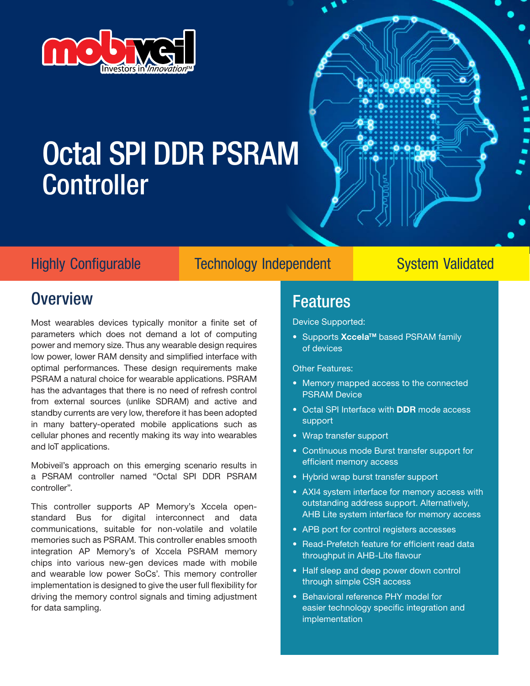

# Octal SPI DDR PSRAM Controller



Highly Configurable Technology Independent System Validated

### **Overview**

Most wearables devices typically monitor a finite set of parameters which does not demand a lot of computing power and memory size. Thus any wearable design requires low power, lower RAM density and simplified interface with optimal performances. These design requirements make PSRAM a natural choice for wearable applications. PSRAM has the advantages that there is no need of refresh control from external sources (unlike SDRAM) and active and standby currents are very low, therefore it has been adopted in many battery-operated mobile applications such as cellular phones and recently making its way into wearables and loT applications.

Mobiveil's approach on this emerging scenario results in a PSRAM controller named "Octal SPI DDR PSRAM controller".

This controller supports AP Memory's Xccela openstandard Bus for digital interconnect and data communications, suitable for non-volatile and volatile memories such as PSRAM. This controller enables smooth integration AP Memory's of Xccela PSRAM memory chips into various new-gen devices made with mobile and wearable low power SoCs'. This memory controller implementation is designed to give the user full flexibility for driving the memory control signals and timing adjustment for data sampling.

### Features

Device Supported:

● Supports Xccela<sup>™</sup> based PSRAM family of devices

#### Other Features:

- Memory mapped access to the connected PSRAM Device
- Octal SPI Interface with **DDR** mode access support
- Wrap transfer support
- Continuous mode Burst transfer support for efficient memory access
- Hybrid wrap burst transfer support
- AXI4 system interface for memory access with outstanding address support. Alternatively, AHB Lite system interface for memory access
- APB port for control registers accesses
- Read-Prefetch feature for efficient read data throughput in AHB-Lite flavour
- Half sleep and deep power down control through simple CSR access
- Behavioral reference PHY model for easier technology specific integration and implementation